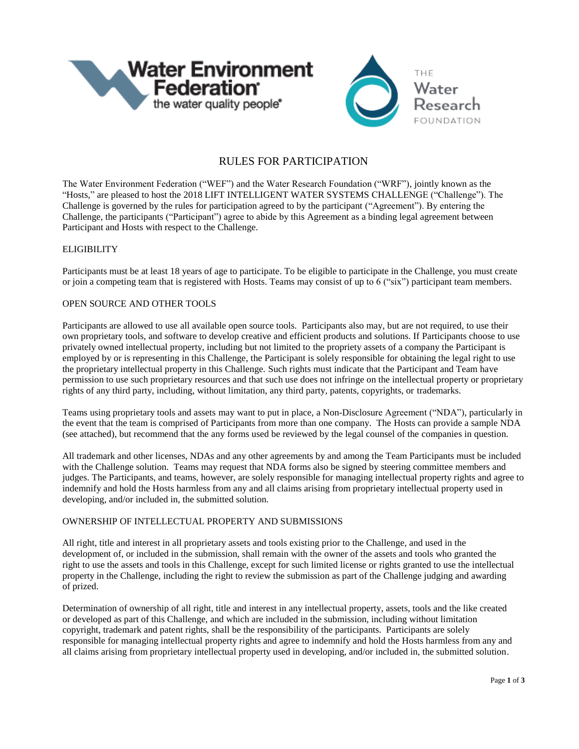

# RULES FOR PARTICIPATION

The Water Environment Federation ("WEF") and the Water Research Foundation ("WRF"), jointly known as the "Hosts," are pleased to host the 2018 LIFT INTELLIGENT WATER SYSTEMS CHALLENGE ("Challenge"). The Challenge is governed by the rules for participation agreed to by the participant ("Agreement"). By entering the Challenge, the participants ("Participant") agree to abide by this Agreement as a binding legal agreement between Participant and Hosts with respect to the Challenge.

#### **ELIGIBILITY**

Participants must be at least 18 years of age to participate. To be eligible to participate in the Challenge, you must create or join a competing team that is registered with Hosts. Teams may consist of up to 6 ("six") participant team members.

#### OPEN SOURCE AND OTHER TOOLS

Participants are allowed to use all available open source tools. Participants also may, but are not required, to use their own proprietary tools, and software to develop creative and efficient products and solutions. If Participants choose to use privately owned intellectual property, including but not limited to the propriety assets of a company the Participant is employed by or is representing in this Challenge, the Participant is solely responsible for obtaining the legal right to use the proprietary intellectual property in this Challenge. Such rights must indicate that the Participant and Team have permission to use such proprietary resources and that such use does not infringe on the intellectual property or proprietary rights of any third party, including, without limitation, any third party, patents, copyrights, or trademarks.

Teams using proprietary tools and assets may want to put in place, a Non-Disclosure Agreement ("NDA"), particularly in the event that the team is comprised of Participants from more than one company. The Hosts can provide a sample NDA (see attached), but recommend that the any forms used be reviewed by the legal counsel of the companies in question.

All trademark and other licenses, NDAs and any other agreements by and among the Team Participants must be included with the Challenge solution. Teams may request that NDA forms also be signed by steering committee members and judges. The Participants, and teams, however, are solely responsible for managing intellectual property rights and agree to indemnify and hold the Hosts harmless from any and all claims arising from proprietary intellectual property used in developing, and/or included in, the submitted solution.

# OWNERSHIP OF INTELLECTUAL PROPERTY AND SUBMISSIONS

All right, title and interest in all proprietary assets and tools existing prior to the Challenge, and used in the development of, or included in the submission, shall remain with the owner of the assets and tools who granted the right to use the assets and tools in this Challenge, except for such limited license or rights granted to use the intellectual property in the Challenge, including the right to review the submission as part of the Challenge judging and awarding of prized.

Determination of ownership of all right, title and interest in any intellectual property, assets, tools and the like created or developed as part of this Challenge, and which are included in the submission, including without limitation copyright, trademark and patent rights, shall be the responsibility of the participants. Participants are solely responsible for managing intellectual property rights and agree to indemnify and hold the Hosts harmless from any and all claims arising from proprietary intellectual property used in developing, and/or included in, the submitted solution.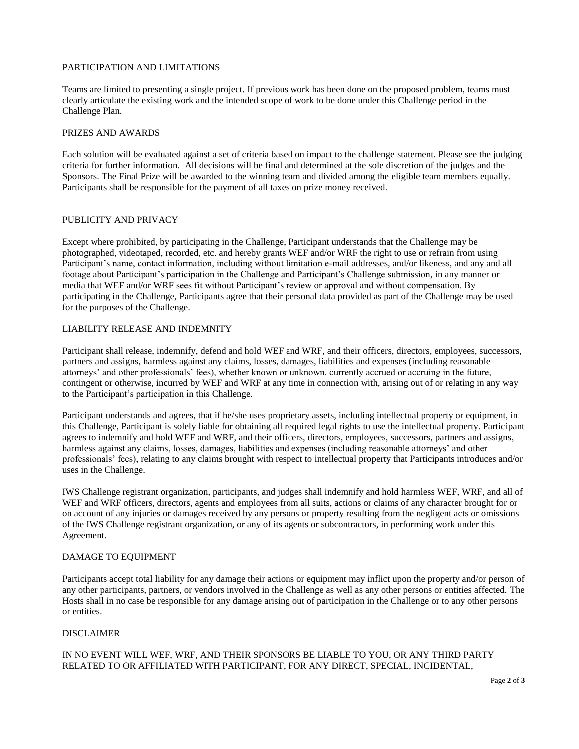## PARTICIPATION AND LIMITATIONS

Teams are limited to presenting a single project. If previous work has been done on the proposed problem, teams must clearly articulate the existing work and the intended scope of work to be done under this Challenge period in the Challenge Plan.

#### PRIZES AND AWARDS

Each solution will be evaluated against a set of criteria based on impact to the challenge statement. Please see the judging criteria for further information. All decisions will be final and determined at the sole discretion of the judges and the Sponsors. The Final Prize will be awarded to the winning team and divided among the eligible team members equally. Participants shall be responsible for the payment of all taxes on prize money received.

## PUBLICITY AND PRIVACY

Except where prohibited, by participating in the Challenge, Participant understands that the Challenge may be photographed, videotaped, recorded, etc. and hereby grants WEF and/or WRF the right to use or refrain from using Participant's name, contact information, including without limitation e-mail addresses, and/or likeness, and any and all footage about Participant's participation in the Challenge and Participant's Challenge submission, in any manner or media that WEF and/or WRF sees fit without Participant's review or approval and without compensation. By participating in the Challenge, Participants agree that their personal data provided as part of the Challenge may be used for the purposes of the Challenge.

## LIABILITY RELEASE AND INDEMNITY

Participant shall release, indemnify, defend and hold WEF and WRF, and their officers, directors, employees, successors, partners and assigns, harmless against any claims, losses, damages, liabilities and expenses (including reasonable attorneys' and other professionals' fees), whether known or unknown, currently accrued or accruing in the future, contingent or otherwise, incurred by WEF and WRF at any time in connection with, arising out of or relating in any way to the Participant's participation in this Challenge.

Participant understands and agrees, that if he/she uses proprietary assets, including intellectual property or equipment, in this Challenge, Participant is solely liable for obtaining all required legal rights to use the intellectual property. Participant agrees to indemnify and hold WEF and WRF, and their officers, directors, employees, successors, partners and assigns, harmless against any claims, losses, damages, liabilities and expenses (including reasonable attorneys' and other professionals' fees), relating to any claims brought with respect to intellectual property that Participants introduces and/or uses in the Challenge.

IWS Challenge registrant organization, participants, and judges shall indemnify and hold harmless WEF, WRF, and all of WEF and WRF officers, directors, agents and employees from all suits, actions or claims of any character brought for or on account of any injuries or damages received by any persons or property resulting from the negligent acts or omissions of the IWS Challenge registrant organization, or any of its agents or subcontractors, in performing work under this Agreement.

## DAMAGE TO EQUIPMENT

Participants accept total liability for any damage their actions or equipment may inflict upon the property and/or person of any other participants, partners, or vendors involved in the Challenge as well as any other persons or entities affected. The Hosts shall in no case be responsible for any damage arising out of participation in the Challenge or to any other persons or entities.

#### DISCLAIMER

# IN NO EVENT WILL WEF, WRF, AND THEIR SPONSORS BE LIABLE TO YOU, OR ANY THIRD PARTY RELATED TO OR AFFILIATED WITH PARTICIPANT, FOR ANY DIRECT, SPECIAL, INCIDENTAL,